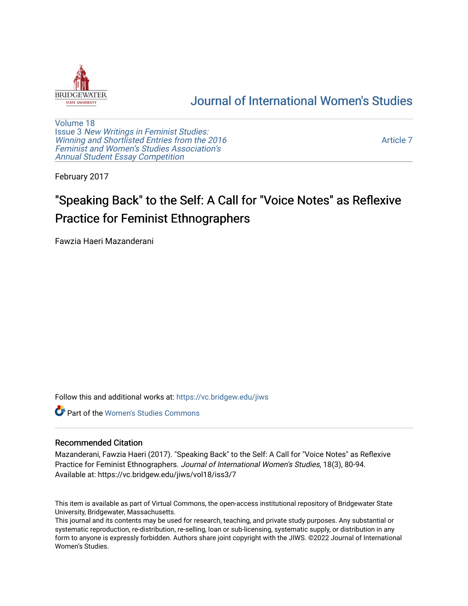

# [Journal of International Women's Studies](https://vc.bridgew.edu/jiws)

[Volume 18](https://vc.bridgew.edu/jiws/vol18) Issue 3 [New Writings in Feminist Studies:](https://vc.bridgew.edu/jiws/vol18/iss3)  [Winning and Shortlisted Entries from the 2016](https://vc.bridgew.edu/jiws/vol18/iss3) [Feminist and Women's Studies Association's](https://vc.bridgew.edu/jiws/vol18/iss3)  [Annual Student Essay Competition](https://vc.bridgew.edu/jiws/vol18/iss3) 

[Article 7](https://vc.bridgew.edu/jiws/vol18/iss3/7) 

February 2017

# "Speaking Back" to the Self: A Call for "Voice Notes" as Reflexive Practice for Feminist Ethnographers

Fawzia Haeri Mazanderani

Follow this and additional works at: [https://vc.bridgew.edu/jiws](https://vc.bridgew.edu/jiws?utm_source=vc.bridgew.edu%2Fjiws%2Fvol18%2Fiss3%2F7&utm_medium=PDF&utm_campaign=PDFCoverPages)

**C** Part of the Women's Studies Commons

#### Recommended Citation

Mazanderani, Fawzia Haeri (2017). "Speaking Back" to the Self: A Call for "Voice Notes" as Reflexive Practice for Feminist Ethnographers. Journal of International Women's Studies, 18(3), 80-94. Available at: https://vc.bridgew.edu/jiws/vol18/iss3/7

This item is available as part of Virtual Commons, the open-access institutional repository of Bridgewater State University, Bridgewater, Massachusetts.

This journal and its contents may be used for research, teaching, and private study purposes. Any substantial or systematic reproduction, re-distribution, re-selling, loan or sub-licensing, systematic supply, or distribution in any form to anyone is expressly forbidden. Authors share joint copyright with the JIWS. ©2022 Journal of International Women's Studies.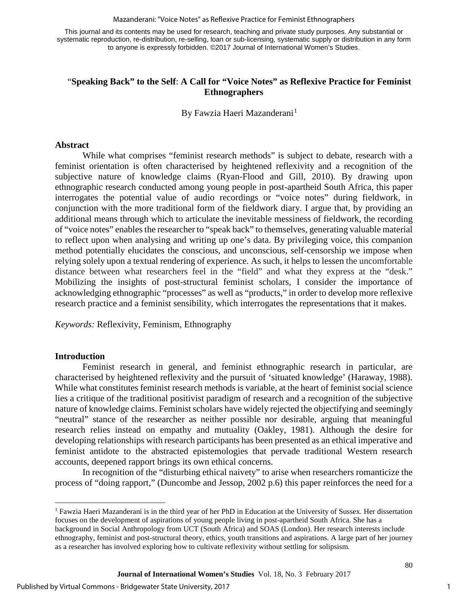Mazanderani: "Voice Notes" as Reflexive Practice for Feminist Ethnographers

This journal and its contents may be used for research, teaching and private study purposes. Any substantial or systematic reproduction, re-distribution, re-selling, loan or sub-licensing, systematic supply or distribution in any form to anyone is expressly forbidden. ©2017 Journal of International Women's Studies.

## "**Speaking Back" to the Self**: **A Call for "Voice Notes" as Reflexive Practice for Feminist Ethnographers**

By Fawzia Haeri Mazanderani<sup>[1](#page-1-0)</sup>

#### **Abstract**

While what comprises "feminist research methods" is subject to debate, research with a feminist orientation is often characterised by heightened reflexivity and a recognition of the subjective nature of knowledge claims (Ryan-Flood and Gill, 2010). By drawing upon ethnographic research conducted among young people in post-apartheid South Africa, this paper interrogates the potential value of audio recordings or "voice notes" during fieldwork, in conjunction with the more traditional form of the fieldwork diary. I argue that, by providing an additional means through which to articulate the inevitable messiness of fieldwork, the recording of "voice notes" enables the researcher to "speak back" to themselves, generating valuable material to reflect upon when analysing and writing up one's data. By privileging voice, this companion method potentially elucidates the conscious, and unconscious, self-censorship we impose when relying solely upon a textual rendering of experience. As such, it helps to lessen the uncomfortable distance between what researchers feel in the "field" and what they express at the "desk." Mobilizing the insights of post-structural feminist scholars, I consider the importance of acknowledging ethnographic "processes" as well as "products," in order to develop more reflexive research practice and a feminist sensibility, which interrogates the representations that it makes.

*Keywords:* Reflexivity, Feminism, Ethnography

#### **Introduction**

 $\overline{\phantom{a}}$ 

Feminist research in general, and feminist ethnographic research in particular, are characterised by heightened reflexivity and the pursuit of 'situated knowledge' (Haraway, 1988). While what constitutes feminist research methods is variable, at the heart of feminist social science lies a critique of the traditional positivist paradigm of research and a recognition of the subjective nature of knowledge claims. Feminist scholars have widely rejected the objectifying and seemingly "neutral" stance of the researcher as neither possible nor desirable, arguing that meaningful research relies instead on empathy and mutuality (Oakley, 1981). Although the desire for developing relationships with research participants has been presented as an ethical imperative and feminist antidote to the abstracted epistemologies that pervade traditional Western research accounts, deepened rapport brings its own ethical concerns.

In recognition of the "disturbing ethical naivety" to arise when researchers romanticize the process of "doing rapport," (Duncombe and Jessop, 2002 p.6) this paper reinforces the need for a

<span id="page-1-0"></span><sup>1</sup> Fawzia Haeri Mazanderani is in the third year of her PhD in Education at the University of Sussex. Her dissertation focuses on the development of aspirations of young people living in post-apartheid South Africa. She has a background in Social Anthropology from UCT (South Africa) and SOAS (London). Her research interests include ethnography, feminist and post-structural theory, ethics, youth transitions and aspirations. A large part of her journey as a researcher has involved exploring how to cultivate reflexivity without settling for solipsism.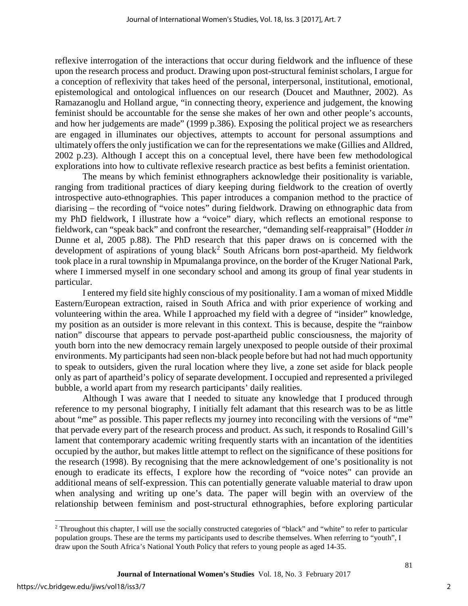reflexive interrogation of the interactions that occur during fieldwork and the influence of these upon the research process and product. Drawing upon post-structural feminist scholars, I argue for a conception of reflexivity that takes heed of the personal, interpersonal, institutional, emotional, epistemological and ontological influences on our research (Doucet and Mauthner, 2002). As Ramazanoglu and Holland argue, "in connecting theory, experience and judgement, the knowing feminist should be accountable for the sense she makes of her own and other people's accounts, and how her judgements are made" (1999 p.386). Exposing the political project we as researchers are engaged in illuminates our objectives, attempts to account for personal assumptions and ultimately offers the only justification we can for the representations we make (Gillies and Alldred, 2002 p.23). Although I accept this on a conceptual level, there have been few methodological explorations into how to cultivate reflexive research practice as best befits a feminist orientation.

The means by which feminist ethnographers acknowledge their positionality is variable, ranging from traditional practices of diary keeping during fieldwork to the creation of overtly introspective auto-ethnographies. This paper introduces a companion method to the practice of diarising – the recording of "voice notes" during fieldwork. Drawing on ethnographic data from my PhD fieldwork, I illustrate how a "voice" diary, which reflects an emotional response to fieldwork, can "speak back" and confront the researcher, "demanding self-reappraisal" (Hodder *in* Dunne et al, 2005 p.88). The PhD research that this paper draws on is concerned with the development of aspirations of young black<sup>[2](#page-2-0)</sup> South Africans born post-apartheid. My fieldwork took place in a rural township in Mpumalanga province, on the border of the Kruger National Park, where I immersed myself in one secondary school and among its group of final year students in particular.

I entered my field site highly conscious of my positionality. I am a woman of mixed Middle Eastern/European extraction, raised in South Africa and with prior experience of working and volunteering within the area. While I approached my field with a degree of "insider" knowledge, my position as an outsider is more relevant in this context. This is because, despite the "rainbow nation" discourse that appears to pervade post-apartheid public consciousness, the majority of youth born into the new democracy remain largely unexposed to people outside of their proximal environments. My participants had seen non-black people before but had not had much opportunity to speak to outsiders, given the rural location where they live, a zone set aside for black people only as part of apartheid's policy of separate development. I occupied and represented a privileged bubble, a world apart from my research participants' daily realities.

Although I was aware that I needed to situate any knowledge that I produced through reference to my personal biography, I initially felt adamant that this research was to be as little about "me" as possible. This paper reflects my journey into reconciling with the versions of "me" that pervade every part of the research process and product. As such, it responds to Rosalind Gill's lament that contemporary academic writing frequently starts with an incantation of the identities occupied by the author, but makes little attempt to reflect on the significance of these positions for the research (1998). By recognising that the mere acknowledgement of one's positionality is not enough to eradicate its effects, I explore how the recording of "voice notes" can provide an additional means of self-expression. This can potentially generate valuable material to draw upon when analysing and writing up one's data. The paper will begin with an overview of the relationship between feminism and post-structural ethnographies, before exploring particular

l

<span id="page-2-0"></span><sup>&</sup>lt;sup>2</sup> Throughout this chapter, I will use the socially constructed categories of "black" and "white" to refer to particular population groups. These are the terms my participants used to describe themselves. When referring to "youth", I draw upon the South Africa's National Youth Policy that refers to young people as aged 14-35.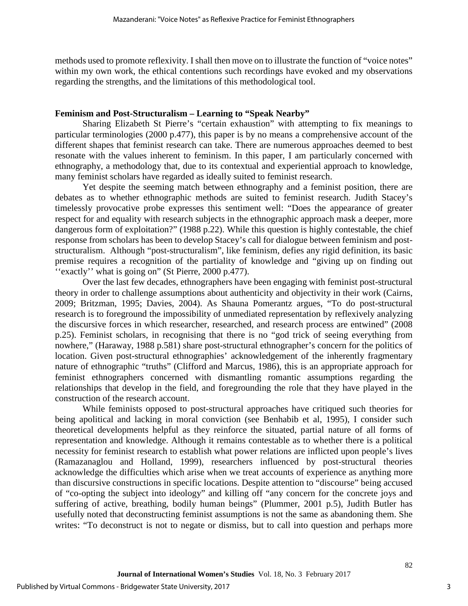methods used to promote reflexivity. I shall then move on to illustrate the function of "voice notes" within my own work, the ethical contentions such recordings have evoked and my observations regarding the strengths, and the limitations of this methodological tool.

#### **Feminism and Post-Structuralism – Learning to "Speak Nearby"**

Sharing Elizabeth St Pierre's "certain exhaustion" with attempting to fix meanings to particular terminologies (2000 p.477), this paper is by no means a comprehensive account of the different shapes that feminist research can take. There are numerous approaches deemed to best resonate with the values inherent to feminism. In this paper, I am particularly concerned with ethnography, a methodology that, due to its contextual and experiential approach to knowledge, many feminist scholars have regarded as ideally suited to feminist research.

Yet despite the seeming match between ethnography and a feminist position, there are debates as to whether ethnographic methods are suited to feminist research. Judith Stacey's timelessly provocative probe expresses this sentiment well: "Does the appearance of greater respect for and equality with research subjects in the ethnographic approach mask a deeper, more dangerous form of exploitation?" (1988 p.22). While this question is highly contestable, the chief response from scholars has been to develop Stacey's call for dialogue between feminism and poststructuralism. Although "post-structuralism", like feminism, defies any rigid definition, its basic premise requires a recognition of the partiality of knowledge and "giving up on finding out ''exactly'' what is going on" (St Pierre, 2000 p.477).

Over the last few decades, ethnographers have been engaging with feminist post-structural theory in order to challenge assumptions about authenticity and objectivity in their work (Cairns, 2009; Britzman, 1995; Davies, 2004). As Shauna Pomerantz argues, "To do post-structural research is to foreground the impossibility of unmediated representation by reflexively analyzing the discursive forces in which researcher, researched, and research process are entwined" (2008 p.25). Feminist scholars, in recognising that there is no "god trick of seeing everything from nowhere," (Haraway, 1988 p.581) share post-structural ethnographer's concern for the politics of location. Given post-structural ethnographies' acknowledgement of the inherently fragmentary nature of ethnographic "truths" (Clifford and Marcus, 1986), this is an appropriate approach for feminist ethnographers concerned with dismantling romantic assumptions regarding the relationships that develop in the field, and foregrounding the role that they have played in the construction of the research account.

While feminists opposed to post-structural approaches have critiqued such theories for being apolitical and lacking in moral conviction (see Benhabib et al, 1995), I consider such theoretical developments helpful as they reinforce the situated, partial nature of all forms of representation and knowledge. Although it remains contestable as to whether there is a political necessity for feminist research to establish what power relations are inflicted upon people's lives (Ramazanaglou and Holland, 1999), researchers influenced by post-structural theories acknowledge the difficulties which arise when we treat accounts of experience as anything more than discursive constructions in specific locations. Despite attention to "discourse" being accused of "co-opting the subject into ideology" and killing off "any concern for the concrete joys and suffering of active, breathing, bodily human beings" (Plummer, 2001 p.5), Judith Butler has usefully noted that deconstructing feminist assumptions is not the same as abandoning them. She writes: "To deconstruct is not to negate or dismiss, but to call into question and perhaps more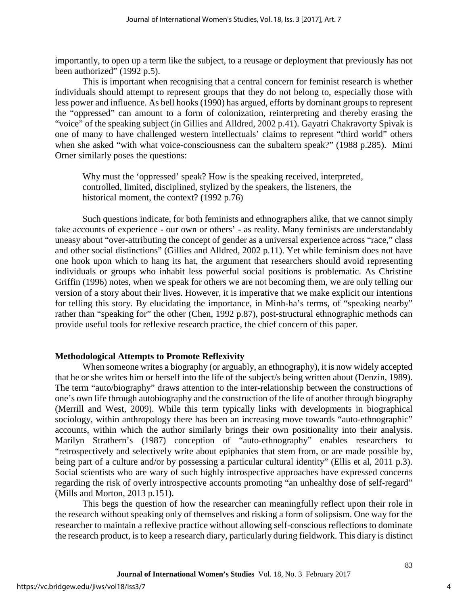importantly, to open up a term like the subject, to a reusage or deployment that previously has not been authorized" (1992 p.5).

This is important when recognising that a central concern for feminist research is whether individuals should attempt to represent groups that they do not belong to, especially those with less power and influence. As bell hooks (1990) has argued, efforts by dominant groups to represent the "oppressed" can amount to a form of colonization, reinterpreting and thereby erasing the "voice" of the speaking subject (in Gillies and Alldred, 2002 p.41). Gayatri Chakravorty Spivak is one of many to have challenged western intellectuals' claims to represent "third world" others when she asked "with what voice-consciousness can the subaltern speak?" (1988 p.285). Mimi Orner similarly poses the questions:

Why must the 'oppressed' speak? How is the speaking received, interpreted, controlled, limited, disciplined, stylized by the speakers, the listeners, the historical moment, the context? (1992 p.76)

Such questions indicate, for both feminists and ethnographers alike, that we cannot simply take accounts of experience - our own or others' - as reality. Many feminists are understandably uneasy about "over-attributing the concept of gender as a universal experience across "race," class and other social distinctions" (Gillies and Alldred, 2002 p.11). Yet while feminism does not have one hook upon which to hang its hat, the argument that researchers should avoid representing individuals or groups who inhabit less powerful social positions is problematic. As Christine Griffin (1996) notes, when we speak for others we are not becoming them, we are only telling our version of a story about their lives. However, it is imperative that we make explicit our intentions for telling this story. By elucidating the importance, in Minh-ha's terms, of "speaking nearby" rather than "speaking for" the other (Chen, 1992 p.87), post-structural ethnographic methods can provide useful tools for reflexive research practice, the chief concern of this paper.

#### **Methodological Attempts to Promote Reflexivity**

When someone writes a biography (or arguably, an ethnography), it is now widely accepted that he or she writes him or herself into the life of the subject/s being written about (Denzin, 1989). The term "auto/biography" draws attention to the inter-relationship between the constructions of one's own life through autobiography and the construction of the life of another through biography (Merrill and West, 2009). While this term typically links with developments in biographical sociology, within anthropology there has been an increasing move towards "auto-ethnographic" accounts, within which the author similarly brings their own positionality into their analysis. Marilyn Strathern's (1987) conception of "auto-ethnography" enables researchers to "retrospectively and selectively write about epiphanies that stem from, or are made possible by, being part of a culture and/or by possessing a particular cultural identity" (Ellis et al, 2011 p.3). Social scientists who are wary of such highly introspective approaches have expressed concerns regarding the risk of overly introspective accounts promoting "an unhealthy dose of self-regard" (Mills and Morton, 2013 p.151).

This begs the question of how the researcher can meaningfully reflect upon their role in the research without speaking only of themselves and risking a form of solipsism. One way for the researcher to maintain a reflexive practice without allowing self-conscious reflections to dominate the research product, is to keep a research diary, particularly during fieldwork. This diary is distinct

4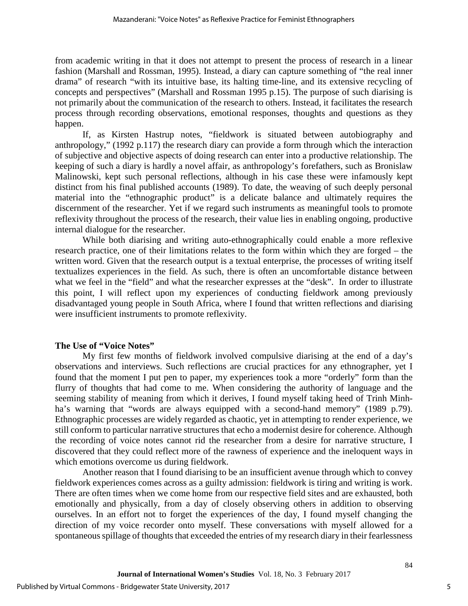from academic writing in that it does not attempt to present the process of research in a linear fashion (Marshall and Rossman, 1995). Instead, a diary can capture something of "the real inner drama" of research "with its intuitive base, its halting time-line, and its extensive recycling of concepts and perspectives" (Marshall and Rossman 1995 p.15). The purpose of such diarising is not primarily about the communication of the research to others. Instead, it facilitates the research process through recording observations, emotional responses, thoughts and questions as they happen.

If, as Kirsten Hastrup notes, "fieldwork is situated between autobiography and anthropology," (1992 p.117) the research diary can provide a form through which the interaction of subjective and objective aspects of doing research can enter into a productive relationship. The keeping of such a diary is hardly a novel affair, as anthropology's forefathers, such as Bronislaw Malinowski, kept such personal reflections, although in his case these were infamously kept distinct from his final published accounts (1989). To date, the weaving of such deeply personal material into the "ethnographic product" is a delicate balance and ultimately requires the discernment of the researcher. Yet if we regard such instruments as meaningful tools to promote reflexivity throughout the process of the research, their value lies in enabling ongoing, productive internal dialogue for the researcher.

While both diarising and writing auto-ethnographically could enable a more reflexive research practice, one of their limitations relates to the form within which they are forged – the written word. Given that the research output is a textual enterprise, the processes of writing itself textualizes experiences in the field. As such, there is often an uncomfortable distance between what we feel in the "field" and what the researcher expresses at the "desk". In order to illustrate this point, I will reflect upon my experiences of conducting fieldwork among previously disadvantaged young people in South Africa, where I found that written reflections and diarising were insufficient instruments to promote reflexivity.

#### **The Use of "Voice Notes"**

My first few months of fieldwork involved compulsive diarising at the end of a day's observations and interviews. Such reflections are crucial practices for any ethnographer, yet I found that the moment I put pen to paper, my experiences took a more "orderly" form than the flurry of thoughts that had come to me. When considering the authority of language and the seeming stability of meaning from which it derives, I found myself taking heed of Trinh Minhha's warning that "words are always equipped with a second-hand memory" (1989 p.79). Ethnographic processes are widely regarded as chaotic, yet in attempting to render experience, we still conform to particular narrative structures that echo a modernist desire for coherence. Although the recording of voice notes cannot rid the researcher from a desire for narrative structure, I discovered that they could reflect more of the rawness of experience and the ineloquent ways in which emotions overcome us during fieldwork.

Another reason that I found diarising to be an insufficient avenue through which to convey fieldwork experiences comes across as a guilty admission: fieldwork is tiring and writing is work. There are often times when we come home from our respective field sites and are exhausted, both emotionally and physically, from a day of closely observing others in addition to observing ourselves. In an effort not to forget the experiences of the day, I found myself changing the direction of my voice recorder onto myself. These conversations with myself allowed for a spontaneous spillage of thoughts that exceeded the entries of my research diary in their fearlessness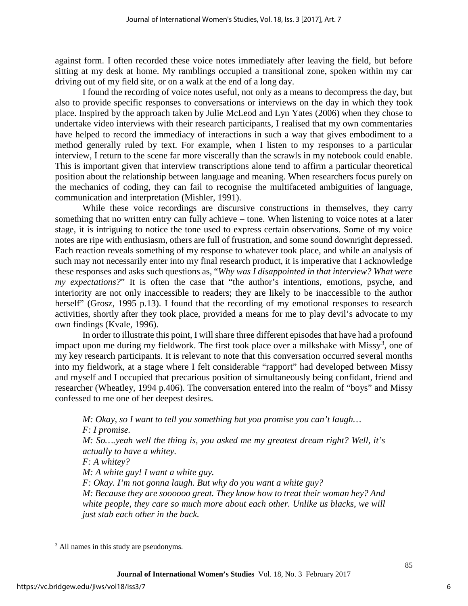against form. I often recorded these voice notes immediately after leaving the field, but before sitting at my desk at home. My ramblings occupied a transitional zone, spoken within my car driving out of my field site, or on a walk at the end of a long day.

I found the recording of voice notes useful, not only as a means to decompress the day, but also to provide specific responses to conversations or interviews on the day in which they took place. Inspired by the approach taken by Julie McLeod and Lyn Yates (2006) when they chose to undertake video interviews with their research participants, I realised that my own commentaries have helped to record the immediacy of interactions in such a way that gives embodiment to a method generally ruled by text. For example, when I listen to my responses to a particular interview, I return to the scene far more viscerally than the scrawls in my notebook could enable. This is important given that interview transcriptions alone tend to affirm a particular theoretical position about the relationship between language and meaning. When researchers focus purely on the mechanics of coding, they can fail to recognise the multifaceted ambiguities of language, communication and interpretation (Mishler, 1991).

While these voice recordings are discursive constructions in themselves, they carry something that no written entry can fully achieve – tone. When listening to voice notes at a later stage, it is intriguing to notice the tone used to express certain observations. Some of my voice notes are ripe with enthusiasm, others are full of frustration, and some sound downright depressed. Each reaction reveals something of my response to whatever took place, and while an analysis of such may not necessarily enter into my final research product, it is imperative that I acknowledge these responses and asks such questions as, "*Why was I disappointed in that interview? What were my expectations?*" It is often the case that "the author's intentions, emotions, psyche, and interiority are not only inaccessible to readers; they are likely to be inaccessible to the author herself" (Grosz, 1995 p.13). I found that the recording of my emotional responses to research activities, shortly after they took place, provided a means for me to play devil's advocate to my own findings (Kvale, 1996).

In order to illustrate this point, I will share three different episodes that have had a profound impact upon me during my fieldwork. The first took place over a milkshake with Missy<sup>[3](#page-6-0)</sup>, one of my key research participants. It is relevant to note that this conversation occurred several months into my fieldwork, at a stage where I felt considerable "rapport" had developed between Missy and myself and I occupied that precarious position of simultaneously being confidant, friend and researcher (Wheatley, 1994 p.406). The conversation entered into the realm of "boys" and Missy confessed to me one of her deepest desires.

*M: Okay, so I want to tell you something but you promise you can't laugh… F: I promise. M: So….yeah well the thing is, you asked me my greatest dream right? Well, it's actually to have a whitey. F: A whitey? M: A white guy! I want a white guy. F: Okay. I'm not gonna laugh. But why do you want a white guy? M: Because they are soooooo great. They know how to treat their woman hey? And* white people, they care so much more about each other. Unlike us blacks, we will *just stab each other in the back.* 

l

<span id="page-6-0"></span><sup>&</sup>lt;sup>3</sup> All names in this study are pseudonyms.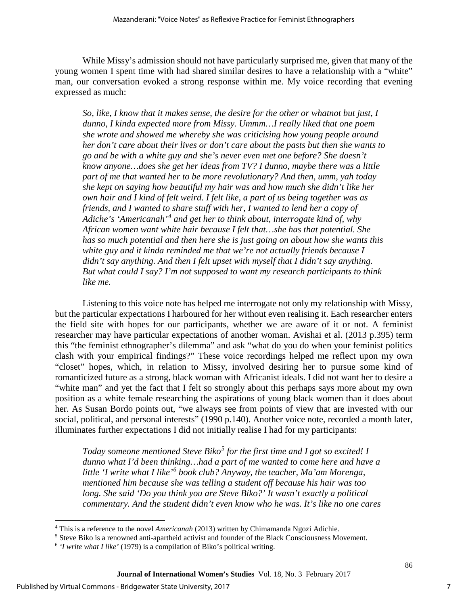While Missy's admission should not have particularly surprised me, given that many of the young women I spent time with had shared similar desires to have a relationship with a "white" man, our conversation evoked a strong response within me. My voice recording that evening expressed as much:

*So, like, I know that it makes sense, the desire for the other or whatnot but just, I dunno, I kinda expected more from Missy. Ummm…I really liked that one poem she wrote and showed me whereby she was criticising how young people around her don't care about their lives or don't care about the pasts but then she wants to go and be with a white guy and she's never even met one before? She doesn't know anyone…does she get her ideas from TV? I dunno, maybe there was a little part of me that wanted her to be more revolutionary? And then, umm, yah today she kept on saying how beautiful my hair was and how much she didn't like her own hair and I kind of felt weird. I felt like, a part of us being together was as friends, and I wanted to share stuff with her, I wanted to lend her a copy of*  Adiche's 'Americanah'<sup>[4](#page-7-0)</sup> and get her to think about, interrogate kind of, why *African women want white hair because I felt that…she has that potential. She has so much potential and then here she is just going on about how she wants this white guy and it kinda reminded me that we're not actually friends because I didn't say anything. And then I felt upset with myself that I didn't say anything. But what could I say? I'm not supposed to want my research participants to think like me.*

Listening to this voice note has helped me interrogate not only my relationship with Missy, but the particular expectations I harboured for her without even realising it. Each researcher enters the field site with hopes for our participants, whether we are aware of it or not. A feminist researcher may have particular expectations of another woman. Avishai et al. (2013 p.395) term this "the feminist ethnographer's dilemma" and ask "what do you do when your feminist politics clash with your empirical findings?" These voice recordings helped me reflect upon my own "closet" hopes, which, in relation to Missy, involved desiring her to pursue some kind of romanticized future as a strong, black woman with Africanist ideals. I did not want her to desire a "white man" and yet the fact that I felt so strongly about this perhaps says more about my own position as a white female researching the aspirations of young black women than it does about her. As Susan Bordo points out, "we always see from points of view that are invested with our social, political, and personal interests" (1990 p.140). Another voice note, recorded a month later, illuminates further expectations I did not initially realise I had for my participants:

*Today someone mentioned Steve Biko[5](#page-7-1) for the first time and I got so excited! I dunno what I'd been thinking…had a part of me wanted to come here and have a little 'I write what I like'[6](#page-7-2) book club? Anyway, the teacher, Ma'am Morenga, mentioned him because she was telling a student off because his hair was too long. She said 'Do you think you are Steve Biko?' It wasn't exactly a political commentary. And the student didn't even know who he was. It's like no one cares* 

7

l <sup>4</sup> This is a reference to the novel *Americanah* (2013) written by Chimamanda Ngozi Adichie.

<span id="page-7-1"></span><span id="page-7-0"></span><sup>5</sup> Steve Biko is a renowned anti-apartheid activist and founder of the Black Consciousness Movement.

<span id="page-7-2"></span><sup>6</sup> *'I write what I like'* (1979) is a compilation of Biko's political writing.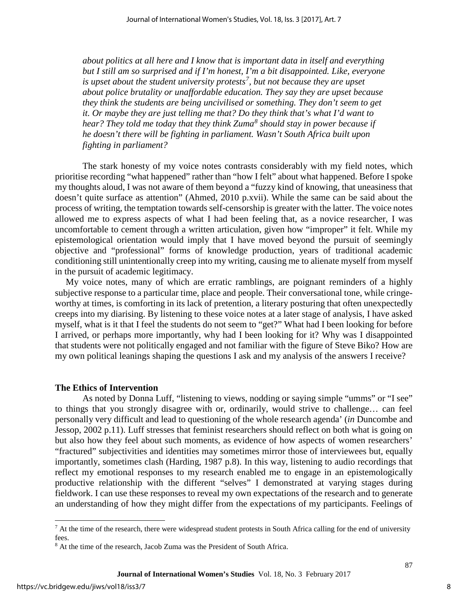*about politics at all here and I know that is important data in itself and everything but I still am so surprised and if I'm honest, I'm a bit disappointed. Like, everyone is upset about the student university protests[7](#page-8-0) , but not because they are upset about police brutality or unaffordable education. They say they are upset because they think the students are being uncivilised or something. They don't seem to get it. Or maybe they are just telling me that? Do they think that's what I'd want to hear? They told me today that they think Zuma[8](#page-8-1) should stay in power because if he doesn't there will be fighting in parliament. Wasn't South Africa built upon fighting in parliament?* 

The stark honesty of my voice notes contrasts considerably with my field notes, which prioritise recording "what happened" rather than "how I felt" about what happened. Before I spoke my thoughts aloud, I was not aware of them beyond a "fuzzy kind of knowing, that uneasiness that doesn't quite surface as attention" (Ahmed, 2010 p.xvii). While the same can be said about the process of writing, the temptation towards self-censorship is greater with the latter. The voice notes allowed me to express aspects of what I had been feeling that, as a novice researcher, I was uncomfortable to cement through a written articulation, given how "improper" it felt. While my epistemological orientation would imply that I have moved beyond the pursuit of seemingly objective and "professional" forms of knowledge production, years of traditional academic conditioning still unintentionally creep into my writing, causing me to alienate myself from myself in the pursuit of academic legitimacy.

My voice notes, many of which are erratic ramblings, are poignant reminders of a highly subjective response to a particular time, place and people. Their conversational tone, while cringeworthy at times, is comforting in its lack of pretention, a literary posturing that often unexpectedly creeps into my diarising. By listening to these voice notes at a later stage of analysis, I have asked myself, what is it that I feel the students do not seem to "get?" What had I been looking for before I arrived, or perhaps more importantly, why had I been looking for it? Why was I disappointed that students were not politically engaged and not familiar with the figure of Steve Biko? How are my own political leanings shaping the questions I ask and my analysis of the answers I receive?

#### **The Ethics of Intervention**

As noted by Donna Luff, "listening to views, nodding or saying simple "umms" or "I see" to things that you strongly disagree with or, ordinarily, would strive to challenge… can feel personally very difficult and lead to questioning of the whole research agenda' (*in* Duncombe and Jessop, 2002 p.11). Luff stresses that feminist researchers should reflect on both what is going on but also how they feel about such moments, as evidence of how aspects of women researchers' "fractured" subjectivities and identities may sometimes mirror those of interviewees but, equally importantly, sometimes clash (Harding, 1987 p.8). In this way, listening to audio recordings that reflect my emotional responses to my research enabled me to engage in an epistemologically productive relationship with the different "selves" I demonstrated at varying stages during fieldwork. I can use these responses to reveal my own expectations of the research and to generate an understanding of how they might differ from the expectations of my participants. Feelings of

l

<span id="page-8-0"></span> $<sup>7</sup>$  At the time of the research, there were widespread student protests in South Africa calling for the end of university</sup> fees.

<span id="page-8-1"></span><sup>8</sup> At the time of the research, Jacob Zuma was the President of South Africa.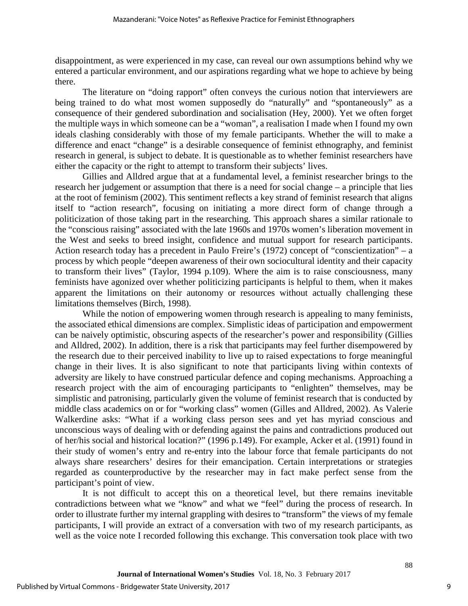disappointment, as were experienced in my case, can reveal our own assumptions behind why we entered a particular environment, and our aspirations regarding what we hope to achieve by being there.

The literature on "doing rapport" often conveys the curious notion that interviewers are being trained to do what most women supposedly do "naturally" and "spontaneously" as a consequence of their gendered subordination and socialisation (Hey, 2000). Yet we often forget the multiple ways in which someone can be a "woman", a realisation I made when I found my own ideals clashing considerably with those of my female participants. Whether the will to make a difference and enact "change" is a desirable consequence of feminist ethnography, and feminist research in general, is subject to debate. It is questionable as to whether feminist researchers have either the capacity or the right to attempt to transform their subjects' lives.

Gillies and Alldred argue that at a fundamental level, a feminist researcher brings to the research her judgement or assumption that there is a need for social change – a principle that lies at the root of feminism (2002). This sentiment reflects a key strand of feminist research that aligns itself to "action research", focusing on initiating a more direct form of change through a politicization of those taking part in the researching. This approach shares a similar rationale to the "conscious raising" associated with the late 1960s and 1970s women's liberation movement in the West and seeks to breed insight, confidence and mutual support for research participants. Action research today has a precedent in Paulo Freire's (1972) concept of "conscientization" – a process by which people "deepen awareness of their own sociocultural identity and their capacity to transform their lives" (Taylor, 1994 p.109). Where the aim is to raise consciousness, many feminists have agonized over whether politicizing participants is helpful to them, when it makes apparent the limitations on their autonomy or resources without actually challenging these limitations themselves (Birch, 1998).

While the notion of empowering women through research is appealing to many feminists, the associated ethical dimensions are complex. Simplistic ideas of participation and empowerment can be naively optimistic, obscuring aspects of the researcher's power and responsibility (Gillies and Alldred, 2002). In addition, there is a risk that participants may feel further disempowered by the research due to their perceived inability to live up to raised expectations to forge meaningful change in their lives. It is also significant to note that participants living within contexts of adversity are likely to have construed particular defence and coping mechanisms. Approaching a research project with the aim of encouraging participants to "enlighten" themselves, may be simplistic and patronising, particularly given the volume of feminist research that is conducted by middle class academics on or for "working class" women (Gilles and Alldred, 2002). As Valerie Walkerdine asks: "What if a working class person sees and yet has myriad conscious and unconscious ways of dealing with or defending against the pains and contradictions produced out of her/his social and historical location?" (1996 p.149). For example, Acker et al. (1991) found in their study of women's entry and re-entry into the labour force that female participants do not always share researchers' desires for their emancipation. Certain interpretations or strategies regarded as counterproductive by the researcher may in fact make perfect sense from the participant's point of view.

It is not difficult to accept this on a theoretical level, but there remains inevitable contradictions between what we "know" and what we "feel" during the process of research. In order to illustrate further my internal grappling with desires to "transform" the views of my female participants, I will provide an extract of a conversation with two of my research participants, as well as the voice note I recorded following this exchange. This conversation took place with two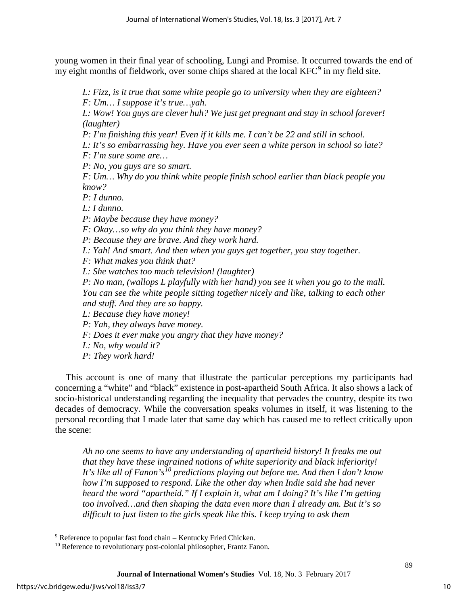young women in their final year of schooling, Lungi and Promise. It occurred towards the end of my eight months of fieldwork, over some chips shared at the local KFC<sup>[9](#page-10-0)</sup> in my field site.

*L: Fizz, is it true that some white people go to university when they are eighteen? F: Um… I suppose it's true…yah.* 

*L: Wow! You guys are clever huh? We just get pregnant and stay in school forever! (laughter)* 

*P: I'm finishing this year! Even if it kills me. I can't be 22 and still in school.* 

*L: It's so embarrassing hey. Have you ever seen a white person in school so late?* 

*F: I'm sure some are…*

*P: No, you guys are so smart.* 

*F: Um… Why do you think white people finish school earlier than black people you know?* 

*P: I dunno.* 

*L: I dunno.* 

*P: Maybe because they have money?*

*F: Okay…so why do you think they have money?* 

*P: Because they are brave. And they work hard.* 

*L: Yah! And smart. And then when you guys get together, you stay together.* 

*F: What makes you think that?* 

*L: She watches too much television! (laughter)* 

*P: No man, (wallops L playfully with her hand) you see it when you go to the mall. You can see the white people sitting together nicely and like, talking to each other and stuff. And they are so happy.* 

*L: Because they have money!*

*P: Yah, they always have money.* 

*F: Does it ever make you angry that they have money?*

*L: No, why would it?* 

*P: They work hard!* 

This account is one of many that illustrate the particular perceptions my participants had concerning a "white" and "black" existence in post-apartheid South Africa. It also shows a lack of socio-historical understanding regarding the inequality that pervades the country, despite its two decades of democracy. While the conversation speaks volumes in itself, it was listening to the personal recording that I made later that same day which has caused me to reflect critically upon the scene:

*Ah no one seems to have any understanding of apartheid history! It freaks me out that they have these ingrained notions of white superiority and black inferiority! It's like all of Fanon's[10](#page-10-1) predictions playing out before me. And then I don't know how I'm supposed to respond. Like the other day when Indie said she had never heard the word "apartheid." If I explain it, what am I doing? It's like I'm getting too involved…and then shaping the data even more than I already am. But it's so difficult to just listen to the girls speak like this. I keep trying to ask them* 

l

<span id="page-10-0"></span><sup>9</sup> Reference to popular fast food chain – Kentucky Fried Chicken.

<span id="page-10-1"></span><sup>&</sup>lt;sup>10</sup> Reference to revolutionary post-colonial philosopher, Frantz Fanon.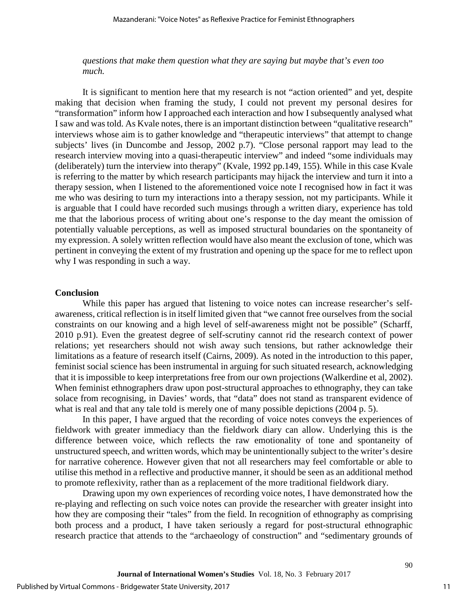*questions that make them question what they are saying but maybe that's even too much.* 

It is significant to mention here that my research is not "action oriented" and yet, despite making that decision when framing the study, I could not prevent my personal desires for "transformation" inform how I approached each interaction and how I subsequently analysed what I saw and was told. As Kvale notes, there is an important distinction between "qualitative research" interviews whose aim is to gather knowledge and "therapeutic interviews" that attempt to change subjects' lives (in Duncombe and Jessop, 2002 p.7). "Close personal rapport may lead to the research interview moving into a quasi-therapeutic interview" and indeed "some individuals may (deliberately) turn the interview into therapy" (Kvale, 1992 pp.149, 155). While in this case Kvale is referring to the matter by which research participants may hijack the interview and turn it into a therapy session, when I listened to the aforementioned voice note I recognised how in fact it was me who was desiring to turn my interactions into a therapy session, not my participants. While it is arguable that I could have recorded such musings through a written diary, experience has told me that the laborious process of writing about one's response to the day meant the omission of potentially valuable perceptions, as well as imposed structural boundaries on the spontaneity of my expression. A solely written reflection would have also meant the exclusion of tone, which was pertinent in conveying the extent of my frustration and opening up the space for me to reflect upon why I was responding in such a way.

#### **Conclusion**

While this paper has argued that listening to voice notes can increase researcher's selfawareness, critical reflection is in itself limited given that "we cannot free ourselves from the social constraints on our knowing and a high level of self-awareness might not be possible" (Scharff, 2010 p.91). Even the greatest degree of self-scrutiny cannot rid the research context of power relations; yet researchers should not wish away such tensions, but rather acknowledge their limitations as a feature of research itself (Cairns, 2009). As noted in the introduction to this paper, feminist social science has been instrumental in arguing for such situated research, acknowledging that it is impossible to keep interpretations free from our own projections (Walkerdine et al, 2002). When feminist ethnographers draw upon post-structural approaches to ethnography, they can take solace from recognising, in Davies' words, that "data" does not stand as transparent evidence of what is real and that any tale told is merely one of many possible depictions (2004 p. 5).

In this paper, I have argued that the recording of voice notes conveys the experiences of fieldwork with greater immediacy than the fieldwork diary can allow. Underlying this is the difference between voice, which reflects the raw emotionality of tone and spontaneity of unstructured speech, and written words, which may be unintentionally subject to the writer's desire for narrative coherence. However given that not all researchers may feel comfortable or able to utilise this method in a reflective and productive manner, it should be seen as an additional method to promote reflexivity, rather than as a replacement of the more traditional fieldwork diary.

Drawing upon my own experiences of recording voice notes, I have demonstrated how the re-playing and reflecting on such voice notes can provide the researcher with greater insight into how they are composing their "tales" from the field. In recognition of ethnography as comprising both process and a product, I have taken seriously a regard for post-structural ethnographic research practice that attends to the "archaeology of construction" and "sedimentary grounds of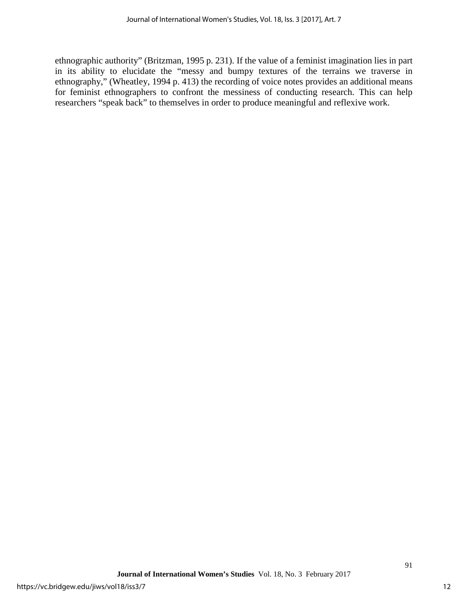ethnographic authority" (Britzman, 1995 p. 231). If the value of a feminist imagination lies in part in its ability to elucidate the "messy and bumpy textures of the terrains we traverse in ethnography," (Wheatley, 1994 p. 413) the recording of voice notes provides an additional means for feminist ethnographers to confront the messiness of conducting research. This can help researchers "speak back" to themselves in order to produce meaningful and reflexive work.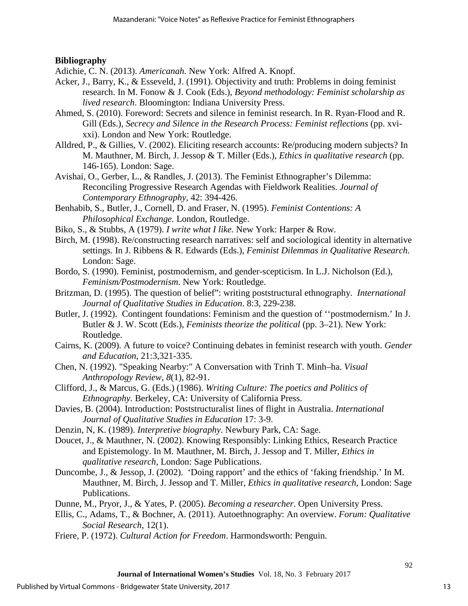### **Bibliography**

- Adichie, C. N. (2013). *Americanah.* New York: Alfred A. Knopf.
- Acker, J., Barry, K., & Esseveld, J. (1991). Objectivity and truth: Problems in doing feminist research. In M. Fonow & J. Cook (Eds.), *Beyond methodology: Feminist scholarship as lived research*. Bloomington: Indiana University Press.
- Ahmed, S. (2010). Foreword: Secrets and silence in feminist research. In R. Ryan-Flood and R. Gill (Eds.), *Secrecy and Silence in the Research Process: Feminist reflections* (pp. xvixxi). London and New York: Routledge.
- Alldred, P., & Gillies, V. (2002). Eliciting research accounts: Re/producing modern subjects? In M. Mauthner, M. Birch, J. Jessop & T. Miller (Eds.), *Ethics in qualitative research* (pp. 146-165). London: Sage.
- Avishai, O., Gerber, L., & Randles, J. (2013). The Feminist Ethnographer's Dilemma: Reconciling Progressive Research Agendas with Fieldwork Realities. *Journal of Contemporary Ethnography,* 42: 394-426.
- Benhabib, S., Butler, J., Cornell, D. and Fraser, N. (1995). *Feminist Contentions: A Philosophical Exchange.* London, Routledge.
- Biko, S., & Stubbs, A (1979). *I write what I like.* New York: Harper & Row.
- Birch, M. (1998). Re/constructing research narratives: self and sociological identity in alternative settings. In J. Ribbens & R. Edwards (Eds.), *Feminist Dilemmas in Qualitative Research*. London: Sage.
- Bordo, S. (1990). Feminist, postmodernism, and gender-scepticism. In L.J. Nicholson (Ed.), *Feminism/Postmodernism*. New York: Routledge.
- Britzman, D. (1995). The question of belief": writing poststructural ethnography. *International Journal of Qualitative Studies in Education*. 8:3, 229-238.
- Butler, J. (1992). Contingent foundations: Feminism and the question of ''postmodernism.' In J. Butler & J. W. Scott (Eds.), *Feminists theorize the political* (pp. 3–21). New York: Routledge.
- Cairns, K. (2009). A future to voice? Continuing debates in feminist research with youth. *Gender and Education*, 21:3,321-335.
- Chen, N. (1992). "Speaking Nearby:" A Conversation with Trinh T. Minh–ha. *Visual Anthropology Review, 8*(1), 82-91.
- Clifford, J., & Marcus, G. (Eds.) (1986). *Writing Culture: The poetics and Politics of Ethnography.* Berkeley, CA: University of California Press.
- Davies, B. (2004). Introduction: Poststructuralist lines of flight in Australia. *International Journal of Qualitative Studies in Education* 17: 3-9.
- Denzin, N, K. (1989). *Interpretive biography*. Newbury Park, CA: Sage.
- Doucet, J., & Mauthner, N. (2002). Knowing Responsibly: Linking Ethics, Research Practice and Epistemology. In M. Mauthner, M. Birch, J. Jessop and T. Miller, *Ethics in qualitative research,* London: Sage Publications.
- Duncombe, J., & Jessop, J. (2002). 'Doing rapport' and the ethics of 'faking friendship.' In M. Mauthner, M. Birch, J. Jessop and T. Miller, *Ethics in qualitative research,* London: Sage Publications.
- Dunne, M., Pryor, J., & Yates, P. (2005). *Becoming a researcher*. Open University Press.
- Ellis, C., Adams, T., & Bochner, A. (2011). Autoethnography: An overview. *Forum: Qualitative Social Research*, 12(1).
- Friere, P. (1972). *Cultural Action for Freedom*. Harmondsworth: Penguin.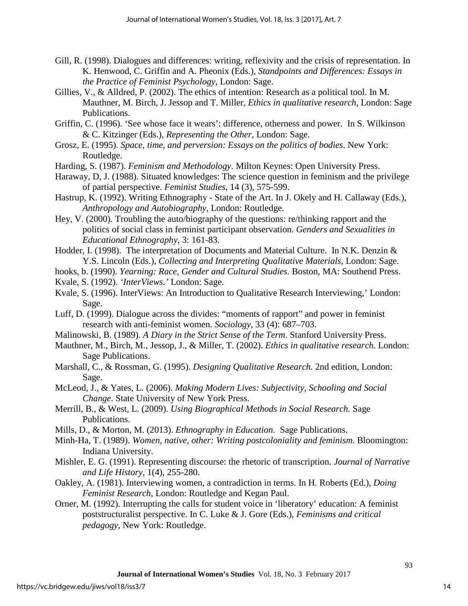- Gill, R. (1998). Dialogues and differences: writing, reflexivity and the crisis of representation. In K. Henwood, C. Griffin and A. Pheonix (Eds.), *Standpoints and Differences: Essays in the Practice of Feminist Psychology*, London: Sage.
- Gillies, V., & Alldred, P. (2002). The ethics of intention: Research as a political tool. In M. Mauthner, M. Birch, J. Jessop and T. Miller, *Ethics in qualitative research,* London: Sage Publications.
- Griffin, C. (1996). 'See whose face it wears': difference, otherness and power. In S. Wilkinson & C. Kitzinger (Eds.), *Representing the Other*, London: Sage.
- Grosz, E. (1995). *Space, time, and perversion: Essays on the politics of bodies*. New York: Routledge.
- Harding, S. (1987). *Feminism and Methodology*. Milton Keynes: Open University Press.
- Haraway, D, J. (1988). Situated knowledges: The science question in feminism and the privilege of partial perspective. *Feminist Studies*, 14 (3), 575-599.
- Hastrup, K. (1992). Writing Ethnography State of the Art. In J. Okely and H. Callaway (Eds.), *Anthropology and Autobiography,* London: Routledge.
- Hey, V. (2000). Troubling the auto/biography of the questions: re/thinking rapport and the politics of social class in feminist participant observation. *Genders and Sexualities in Educational Ethnography*, 3: 161-83.
- Hodder, I. (1998). The interpretation of Documents and Material Culture. In N.K. Denzin & Y.S. Lincoln (Eds.), *Collecting and Interpreting Qualitative Materials*, London: Sage.
- hooks, b. (1990). *Yearning: Race, Gender and Cultural Studies.* Boston, MA: Southend Press.
- Kvale, S. (1992). *'InterViews.'* London: Sage.
- Kvale, S. (1996). InterViews: An Introduction to Qualitative Research Interviewing,' London: Sage.
- Luff, D. (1999). Dialogue across the divides: "moments of rapport" and power in feminist research with anti-feminist women. *Sociology*, 33 (4): 687–703.
- Malinowski, B. (1989). *A Diary in the Strict Sense of the Term*. Stanford University Press.
- Mauthner, M., Birch, M., Jessop, J., & Miller, T. (2002). *Ethics in qualitative research*. London: Sage Publications.
- Marshall, C., & Rossman, G. (1995). *Designing Qualitative Research.* 2nd edition, London: Sage.
- McLeod, J., & Yates, L. (2006). *Making Modern Lives: Subjectivity, Schooling and Social Change*. State University of New York Press.
- Merrill, B., & West, L. (2009). *Using Biographical Methods in Social Research.* Sage Publications.
- Mills, D., & Morton, M. (2013). *Ethnography in Education.* Sage Publications.
- Minh-Ha, T. (1989). *Women, native, other: Writing postcoloniality and feminism*. Bloomington: Indiana University.
- Mishler, E. G. (1991). Representing discourse: the rhetoric of transcription. *Journal of Narrative and Life History*, 1(4), 255-280.
- Oakley, A. (1981). Interviewing women, a contradiction in terms. In H. Roberts (Ed.), *Doing Feminist Research*, London: Routledge and Kegan Paul.
- Orner, M. (1992). Interrupting the calls for student voice in 'liberatory' education: A feminist poststructuralist perspective. In C. Luke & J. Gore (Eds.), *Feminisms and critical pedagogy*, New York: Routledge.